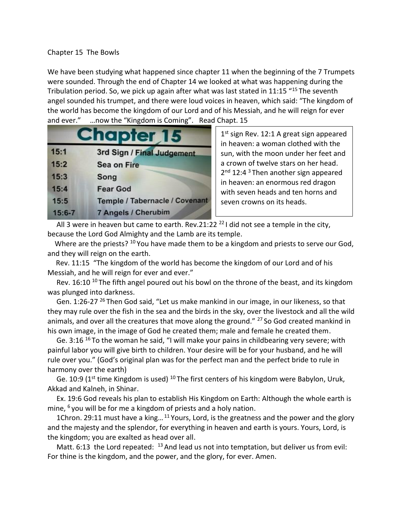## Chapter 15 The Bowls

We have been studying what happened since chapter 11 when the beginning of the 7 Trumpets were sounded. Through the end of Chapter 14 we looked at what was happening during the Tribulation period. So, we pick up again after what was last stated in 11:15 "<sup>15</sup> The seventh angel sounded his trumpet, and there were loud voices in heaven, which said: "The kingdom of the world has become the kingdom of our Lord and of his Messiah, and he will reign for ever and ever." …now the "Kingdom is Coming". Read Chapt. 15

| <b>Chapter 15</b> |                                |  |
|-------------------|--------------------------------|--|
| 15:1              | 3rd Sign / Final Judgement     |  |
| 15:2              | <b>Sea on Fire</b>             |  |
| 15:3              | Song                           |  |
| 15:4              | <b>Fear God</b>                |  |
| 15:5              | Temple / Tabernacle / Covenant |  |
| $15:6 - 7$        | 7 Angels / Cherubim            |  |

1<sup>st</sup> sign Rev. 12:1 A great sign appeared in heaven: a woman clothed with the sun, with the moon under her feet and a crown of twelve stars on her head. 2<sup>nd</sup> 12:4<sup>3</sup> Then another sign appeared in heaven: an enormous red dragon with seven heads and ten horns and seven crowns on its heads.

All 3 were in heaven but came to earth. Rev.21:22 $^{22}$ I did not see a temple in the city, because the Lord God Almighty and the Lamb are its temple.

Where are the priests? <sup>10</sup> You have made them to be a kingdom and priests to serve our God, and they will reign on the earth.

 Rev. 11:15 "The kingdom of the world has become the kingdom of our Lord and of his Messiah, and he will reign for ever and ever."

Rev. 16:10  $^{10}$  The fifth angel poured out his bowl on the throne of the beast, and its kingdom was plunged into darkness.

Gen. 1:26-27<sup>26</sup> Then God said, "Let us make mankind in our image, in our likeness, so that they may rule over the fish in the sea and the birds in the sky, over the livestock and all the wild animals, and over all the creatures that move along the ground." <sup>27</sup> So God created mankind in his own image, in the image of God he created them; male and female he created them.

Ge. 3:16<sup>16</sup> To the woman he said, "I will make your pains in childbearing very severe; with painful labor you will give birth to children. Your desire will be for your husband, and he will rule over you." (God's original plan was for the perfect man and the perfect bride to rule in harmony over the earth)

Ge. 10:9 ( $1<sup>st</sup>$  time Kingdom is used) <sup>10</sup> The first centers of his kingdom were Babylon, Uruk, Akkad and Kalneh, in Shinar.

 Ex. 19:6 God reveals his plan to establish His Kingdom on Earth: Although the whole earth is mine,  $6$  you will be for me a kingdom of priests and a holy nation.

1Chron. 29:11 must have a king...<sup>11</sup> Yours, Lord, is the greatness and the power and the glory and the majesty and the splendor, for everything in heaven and earth is yours. Yours, Lord, is the kingdom; you are exalted as head over all.

Matt. 6:13 the Lord repeated:  $^{13}$  And lead us not into temptation, but deliver us from evil: For thine is the kingdom, and the power, and the glory, for ever. Amen.